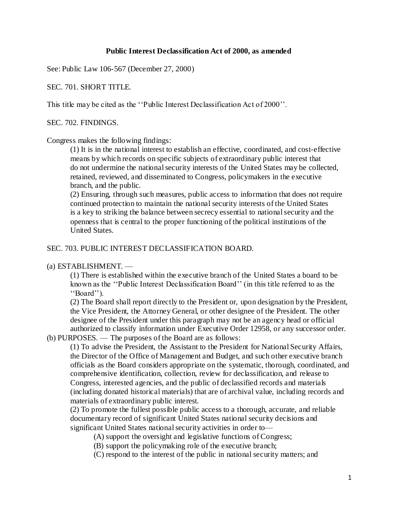#### **Public Interest Declassification Act of 2000, as amended**

See: Public Law 106-567 (December 27, 2000)

## SEC. 701. SHORT TITLE.

This title may be cited as the ''Public Interest Declassification Act of 2000''.

SEC. 702. FINDINGS.

#### Congress makes the following findings:

(1) It is in the national interest to establish an effective, coordinated, and cost-effective means by which records on specific subjects of extraordinary public interest that do not undermine the national security interests of the United States may be collected, retained, reviewed, and disseminated to Congress, policymakers in the executive branch, and the public.

(2) Ensuring, through such measures, public access to information that does not require continued protection to maintain the national security interests of the United States is a key to striking the balance between secrecy essential to national security and the openness that is central to the proper functioning of the political institutions of the United States.

## SEC. 703. PUBLIC INTEREST DECLASSIFICATION BOARD.

#### (a) ESTABLISHMENT. —

(1) There is established within the executive branch of the United States a board to be known as the ''Public Interest Declassification Board'' (in this title referred to as the ''Board'').

(2) The Board shall report directly to the President or, upon designation by the President, the Vice President, the Attorney General, or other designee of the President. The other designee of the President under this paragraph may not be an agency head or official authorized to classify information under Executive Order 12958, or any successor order.

## (b) PURPOSES. — The purposes of the Board are as follows:

(1) To advise the President, the Assistant to the President for National Security Affairs, the Director of the Office of Management and Budget, and such other executive branch officials as the Board considers appropriate on the systematic, thorough, coordinated, and comprehensive identification, collection, review for declassification, and release to Congress, interested agencies, and the public of declassified records and materials (including donated historical materials) that are of archival value, including records and materials of extraordinary public interest.

(2) To promote the fullest possible public access to a thorough, accurate, and reliable documentary record of significant United States national security decisions and significant United States national security activities in order to—

(A) support the oversight and legislative functions of Congress;

- (B) support the policymaking role of the executive branch;
- (C) respond to the interest of the public in national security matters; and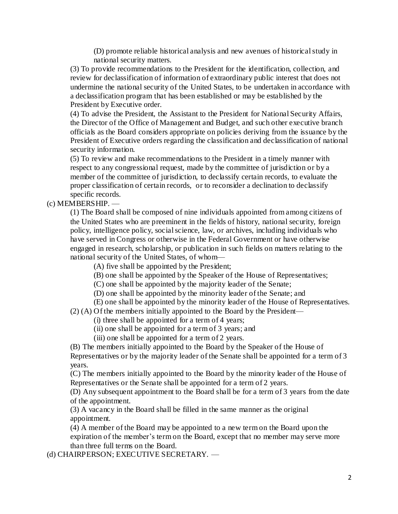(D) promote reliable historical analysis and new avenues of historical study in national security matters.

(3) To provide recommendations to the President for the identification, collection, and review for declassification of information of extraordinary public interest that does not undermine the national security of the United States, to be undertaken in accordance with a declassification program that has been established or may be established by the President by Executive order.

(4) To advise the President, the Assistant to the President for National Security Affairs, the Director of the Office of Management and Budget, and such other executive branch officials as the Board considers appropriate on policies deriving from the issuance by the President of Executive orders regarding the classification and declassification of national security information.

(5) To review and make recommendations to the President in a timely manner with respect to any congressional request, made by the committee of jurisdiction or by a member of the committee of jurisdiction, to declassify certain records, to evaluate the proper classification of certain records, or to reconsider a declination to declassify specific records.

## (c) MEMBERSHIP. —

(1) The Board shall be composed of nine individuals appointed from among citizens of the United States who are preeminent in the fields of history, national security, foreign policy, intelligence policy, social science, law, or archives, including individuals who have served in Congress or otherwise in the Federal Government or have otherwise engaged in research, scholarship, or publication in such fields on matters relating to the national security of the United States, of whom—

(A) five shall be appointed by the President;

(B) one shall be appointed by the Speaker of the House of Representatives;

(C) one shall be appointed by the majority leader of the Senate;

(D) one shall be appointed by the minority leader of the Senate; and

(E) one shall be appointed by the minority leader of the House of Representatives.

(2) (A) Of the members initially appointed to the Board by the President—

(i) three shall be appointed for a term of 4 years;

(ii) one shall be appointed for a term of 3 years; and

(iii) one shall be appointed for a term of 2 years.

(B) The members initially appointed to the Board by the Speaker of the House of Representatives or by the majority leader of the Senate shall be appointed for a term of 3 years.

(C) The members initially appointed to the Board by the minority leader of the House of Representatives or the Senate shall be appointed for a term of 2 years.

(D) Any subsequent appointment to the Board shall be for a term of 3 years from the date of the appointment.

(3) A vacancy in the Board shall be filled in the same manner as the original appointment.

(4) A member of the Board may be appointed to a new term on the Board upon the expiration of the member's term on the Board, except that no member may serve more than three full terms on the Board.

(d) CHAIRPERSON; EXECUTIVE SECRETARY. —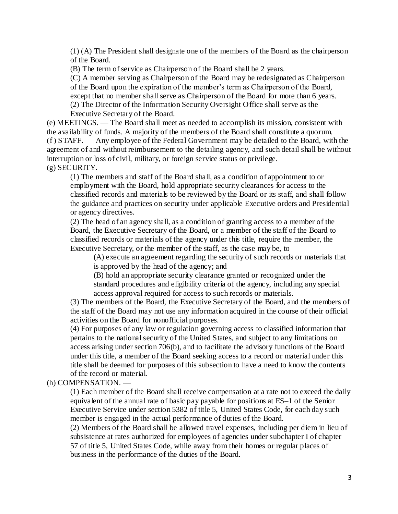(1) (A) The President shall designate one of the members of the Board as the chairperson of the Board.

(B) The term of service as Chairperson of the Board shall be 2 years.

(C) A member serving as Chairperson of the Board may be redesignated as Chairperson of the Board upon the expiration of the member's term as Chairperson of the Board, except that no member shall serve as Chairperson of the Board for more than 6 years. (2) The Director of the Information Security Oversight Office shall serve as the Executive Secretary of the Board.

(e) MEETINGS. — The Board shall meet as needed to accomplish its mission, consistent with the availability of funds. A majority of the members of the Board shall constitute a quorum. (f ) STAFF. — Any employee of the Federal Government may be detailed to the Board, with the agreement of and without reimbursement to the detailing agency, and such detail shall be without interruption or loss of civil, military, or foreign service status or privilege.  $(g)$  SECURITY. —

(1) The members and staff of the Board shall, as a condition of appointment to or employment with the Board, hold appropriate security clearances for access to the classified records and materials to be reviewed by the Board or its staff, and shall follow the guidance and practices on security under applicable Executive orders and Presidential or agency directives.

(2) The head of an agency shall, as a condition of granting access to a member of the Board, the Executive Secretary of the Board, or a member of the staff of the Board to classified records or materials of the agency under this title, require the member, the Executive Secretary, or the member of the staff, as the case may be, to—

(A) execute an agreement regarding the security of such records or materials that is approved by the head of the agency; and

(B) hold an appropriate security clearance granted or recognized under the standard procedures and eligibility criteria of the agency, including any special access approval required for access to such records or materials.

(3) The members of the Board, the Executive Secretary of the Board, and the members of the staff of the Board may not use any information acquired in the course of their official activities on the Board for nonofficial purposes.

(4) For purposes of any law or regulation governing access to classified information that pertains to the national security of the United States, and subject to any limitations on access arising under section 706(b), and to facilitate the advisory functions of the Board under this title, a member of the Board seeking access to a record or material under this title shall be deemed for purposes of this subsection to have a need to know the contents of the record or material.

(h) COMPENSATION. —

(1) Each member of the Board shall receive compensation at a rate not to exceed the daily equivalent of the annual rate of basic pay payable for positions at ES–1 of the Senior Executive Service under section 5382 of title 5, United States Code, for each day such member is engaged in the actual performance of duties of the Board.

(2) Members of the Board shall be allowed travel expenses, including per diem in lieu of subsistence at rates authorized for employees of agencies under subchapter I of chapter 57 of title 5, United States Code, while away from their homes or regular places of business in the performance of the duties of the Board.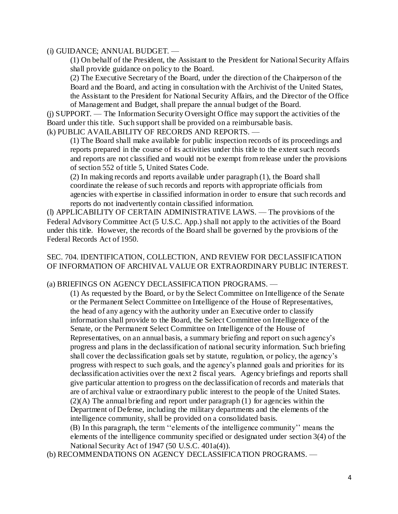#### (i) GUIDANCE; ANNUAL BUDGET. —

(1) On behalf of the President, the Assistant to the President for National Security Affairs shall provide guidance on policy to the Board.

(2) The Executive Secretary of the Board, under the direction of the Chairperson of the Board and the Board, and acting in consultation with the Archivist of the United States, the Assistant to the President for National Security Affairs, and the Director of the Office of Management and Budget, shall prepare the annual budget of the Board.

(j) SUPPORT. — The Information Security Oversight Office may support the activities of the Board under this title. Such support shall be provided on a reimbursable basis.

(k) PUBLIC AVAILABILITY OF RECORDS AND REPORTS. —

(1) The Board shall make available for public inspection records of its proceedings and reports prepared in the course of its activities under this title to the extent such records and reports are not classified and would not be exempt from release under the provisions of section 552 of title 5, United States Code.

(2) In making records and reports available under paragraph (1), the Board shall coordinate the release of such records and reports with appropriate officials from agencies with expertise in classified information in order to ensure that such records and reports do not inadvertently contain classified information.

(l) APPLICABILITY OF CERTAIN ADMINISTRATIVE LAWS. — The provisions of the Federal Advisory Committee Act (5 U.S.C. App.) shall not apply to the activities of the Board under this title. However, the records of the Board shall be governed by the provisions of the Federal Records Act of 1950.

# SEC. 704. IDENTIFICATION, COLLECTION, AND REVIEW FOR DECLASSIFICATION OF INFORMATION OF ARCHIVAL VALUE OR EXTRAORDINARY PUBLIC INTEREST.

## (a) BRIEFINGS ON AGENCY DECLASSIFICATION PROGRAMS. —

(1) As requested by the Board, or by the Select Committee on Intelligence of the Senate or the Permanent Select Committee on Intelligence of the House of Representatives, the head of any agency with the authority under an Executive order to classify information shall provide to the Board, the Select Committee on Intelligence of the Senate, or the Permanent Select Committee on Intelligence of the House of Representatives, on an annual basis, a summary briefing and report on such agency's progress and plans in the declassification of national security information. Such briefing shall cover the declassification goals set by statute, regulation, or policy, the agency's progress with respect to such goals, and the agency's planned goals and priorities for its declassification activities over the next 2 fiscal years. Agency briefings and reports shall give particular attention to progress on the declassification of records and materials that are of archival value or extraordinary public interest to the people of the United States.  $(2)$ (A) The annual briefing and report under paragraph (1) for agencies within the Department of Defense, including the military departments and the elements of the intelligence community, shall be provided on a consolidated basis.

(B) In this paragraph, the term ''elements of the intelligence community'' means the elements of the intelligence community specified or designated under section 3(4) of the National Security Act of 1947 (50 U.S.C. 401a(4)).

(b) RECOMMENDATIONS ON AGENCY DECLASSIFICATION PROGRAMS. —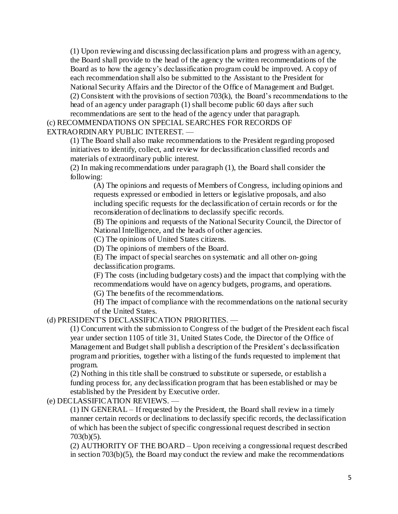(1) Upon reviewing and discussing declassification plans and progress with an agency, the Board shall provide to the head of the agency the written recommendations of the Board as to how the agency's declassification program could be improved. A copy of each recommendation shall also be submitted to the Assistant to the President for National Security Affairs and the Director of the Office of Management and Budget. (2) Consistent with the provisions of section 703(k), the Board's recommendations to the head of an agency under paragraph (1) shall become public 60 days after such recommendations are sent to the head of the agency under that paragraph.

# (c) RECOMMENDATIONS ON SPECIAL SEARCHES FOR RECORDS OF EXTRAORDINARY PUBLIC INTEREST. —

(1) The Board shall also make recommendations to the President regarding proposed initiatives to identify, collect, and review for declassification classified records and materials of extraordinary public interest.

(2) In making recommendations under paragraph (1), the Board shall consider the following:

(A) The opinions and requests of Members of Congress, including opinions and requests expressed or embodied in letters or legislative proposals, and also including specific requests for the declassification of certain records or for the reconsideration of declinations to declassify specific records.

(B) The opinions and requests of the National Security Council, the Director of National Intelligence, and the heads of other agencies.

(C) The opinions of United States citizens.

(D) The opinions of members of the Board.

(E) The impact of special searches on systematic and all other on-going

declassification programs.

(F) The costs (including budgetary costs) and the impact that complying with the recommendations would have on agency budgets, programs, and operations.

(G) The benefits of the recommendations.

(H) The impact of compliance with the recommendations on the national security of the United States.

# (d) PRESIDENT'S DECLASSIFICATION PRIORITIES. —

(1) Concurrent with the submission to Congress of the budget of the President each fiscal year under section 1105 of title 31, United States Code, the Director of the Office of Management and Budget shall publish a description of the President's declassification program and priorities, together with a listing of the funds requested to implement that program.

(2) Nothing in this title shall be construed to substitute or supersede, or establish a funding process for, any declassification program that has been established or may be established by the President by Executive order.

(e) DECLASSIFICATION REVIEWS. —

(1) IN GENERAL – If requested by the President, the Board shall review in a timely manner certain records or declinations to declassify specific records, the declassification of which has been the subject of specific congressional request described in section 703(b)(5).

(2) AUTHORITY OF THE BOARD – Upon receiving a congressional request described in section 703(b)(5), the Board may conduct the review and make the recommendations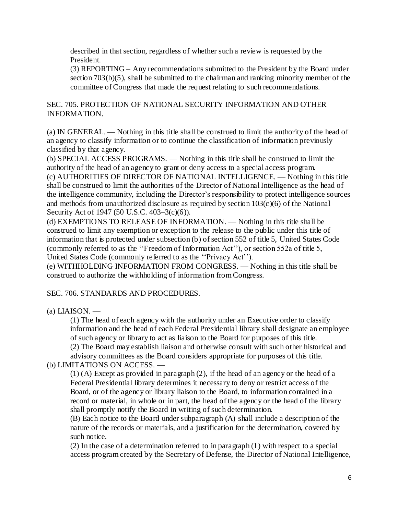described in that section, regardless of whether such a review is requested by the President.

(3) REPORTING – Any recommendations submitted to the President by the Board under section 703(b)(5), shall be submitted to the chairman and ranking minority member of the committee of Congress that made the request relating to such recommendations.

# SEC. 705. PROTECTION OF NATIONAL SECURITY INFORMATION AND OTHER INFORMATION.

(a) IN GENERAL. — Nothing in this title shall be construed to limit the authority of the head of an agency to classify information or to continue the classification of information previously classified by that agency.

(b) SPECIAL ACCESS PROGRAMS. — Nothing in this title shall be construed to limit the authority of the head of an agency to grant or deny access to a special access program. (c) AUTHORITIES OF DIRECTOR OF NATIONAL INTELLIGENCE. — Nothing in this title shall be construed to limit the authorities of the Director of National Intelligence as the head of the intelligence community, including the Director's responsibility to protect intelligence sources and methods from unauthorized disclosure as required by section  $103(c)(6)$  of the National Security Act of 1947 (50 U.S.C. 403–3(c)(6)).

(d) EXEMPTIONS TO RELEASE OF INFORMATION. — Nothing in this title shall be construed to limit any exemption or exception to the release to the public under this title of information that is protected under subsection (b) of section 552 of title 5, United States Code (commonly referred to as the ''Freedom of Information Act''), or section 552a of title 5, United States Code (commonly referred to as the ''Privacy Act'').

(e) WITHHOLDING INFORMATION FROM CONGRESS. — Nothing in this title shall be construed to authorize the withholding of information from Congress.

SEC. 706. STANDARDS AND PROCEDURES.

(a) LIAISON. —

(1) The head of each agency with the authority under an Executive order to classify information and the head of each Federal Presidential library shall designate an employee of such agency or library to act as liaison to the Board for purposes of this title.

(2) The Board may establish liaison and otherwise consult with such other historical and advisory committees as the Board considers appropriate for purposes of this title.

# (b) LIMITATIONS ON ACCESS. —

(1) (A) Except as provided in paragraph (2), if the head of an agency or the head of a Federal Presidential library determines it necessary to deny or restrict access of the Board, or of the agency or library liaison to the Board, to information contained in a record or material, in whole or in part, the head of the agency or the head of the library shall promptly notify the Board in writing of such determination.

(B) Each notice to the Board under subparagraph (A) shall include a description of the nature of the records or materials, and a justification for the determination, covered by such notice.

(2) In the case of a determination referred to in paragraph (1) with respect to a special access program created by the Secretary of Defense, the Director of National Intelligence,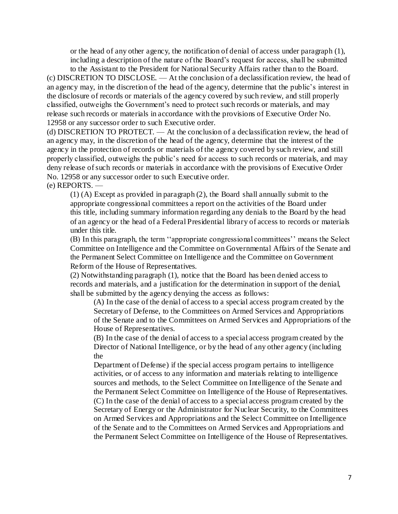or the head of any other agency, the notification of denial of access under paragraph (1), including a description of the nature of the Board's request for access, shall be submitted

to the Assistant to the President for National Security Affairs rather than to the Board. (c) DISCRETION TO DISCLOSE. — At the conclusion of a declassification review, the head of an agency may, in the discretion of the head of the agency, determine that the public's interest in the disclosure of records or materials of the agency covered by such review, and still properly classified, outweighs the Government's need to protect such records or materials, and may release such records or materials in accordance with the provisions of Executive Order No. 12958 or any successor order to such Executive order.

(d) DISCRETION TO PROTECT. — At the conclusion of a declassification review, the head of an agency may, in the discretion of the head of the agency, determine that the interest of the agency in the protection of records or materials of the agency covered by such review, and still properly classified, outweighs the public's need for access to such records or materials, and may deny release of such records or materials in accordance with the provisions of Executive Order No. 12958 or any successor order to such Executive order.

(e) REPORTS. —

(1) (A) Except as provided in paragraph (2), the Board shall annually submit to the appropriate congressional committees a report on the activities of the Board under this title, including summary information regarding any denials to the Board by the head of an agency or the head of a Federal Presidential library of access to records or materials under this title.

(B) In this paragraph, the term ''appropriate congressional committees'' means the Select Committee on Intelligence and the Committee on Governmental Affairs of the Senate and the Permanent Select Committee on Intelligence and the Committee on Government Reform of the House of Representatives.

(2) Notwithstanding paragraph (1), notice that the Board has been denied access to records and materials, and a justification for the determination in support of the denial, shall be submitted by the agency denying the access as follows:

(A) In the case of the denial of access to a special access program created by the Secretary of Defense, to the Committees on Armed Services and Appropriations of the Senate and to the Committees on Armed Services and Appropriations of the House of Representatives.

(B) In the case of the denial of access to a special access program created by the Director of National Intelligence, or by the head of any other agency (including the

Department of Defense) if the special access program pertains to intelligence activities, or of access to any information and materials relating to intelligence sources and methods, to the Select Committee on Intelligence of the Senate and the Permanent Select Committee on Intelligence of the House of Representatives. (C) In the case of the denial of access to a special access program created by the Secretary of Energy or the Administrator for Nuclear Security, to the Committees on Armed Services and Appropriations and the Select Committee on Intelligence of the Senate and to the Committees on Armed Services and Appropriations and the Permanent Select Committee on Intelligence of the House of Representatives.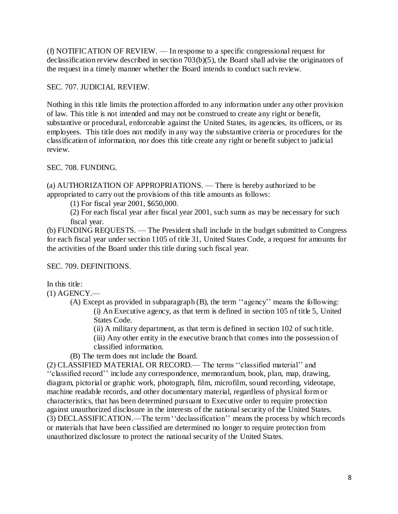(f) NOTIFICATION OF REVIEW. — In response to a specific congressional request for declassification review described in section 703(b)(5), the Board shall advise the originators of the request in a timely manner whether the Board intends to conduct such review.

SEC. 707. JUDICIAL REVIEW.

Nothing in this title limits the protection afforded to any information under any other provision of law. This title is not intended and may not be construed to create any right or benefit, substantive or procedural, enforceable against the United States, its agencies, its officers, or its employees. This title does not modify in any way the substantive criteria or procedures for the classification of information, nor does this title create any right or benefit subject to judicial review.

SEC. 708. FUNDING.

(a) AUTHORIZATION OF APPROPRIATIONS. — There is hereby authorized to be appropriated to carry out the provisions of this title amounts as follows:

(1) For fiscal year 2001, \$650,000.

(2) For each fiscal year after fiscal year 2001, such sums as may be necessary for such fiscal year.

(b) FUNDING REQUESTS. — The President shall include in the budget submitted to Congress for each fiscal year under section 1105 of title 31, United States Code, a request for amounts for the activities of the Board under this title during such fiscal year.

SEC. 709. DEFINITIONS.

In this title:

 $(1)$  AGENCY.—

(A) Except as provided in subparagraph (B), the term ''agency'' means the following: (i) An Executive agency, as that term is defined in section 105 of title 5, United States Code.

(ii) A military department, as that term is defined in section 102 of such title.

(iii) Any other entity in the executive branch that comes into the possession of classified information.

(B) The term does not include the Board.

(2) CLASSIFIED MATERIAL OR RECORD.— The terms ''classified material'' and ''classified record'' include any correspondence, memorandum, book, plan, map, drawing, diagram, pictorial or graphic work, photograph, film, microfilm, sound recording, videotape, machine readable records, and other documentary material, regardless of physical form or characteristics, that has been determined pursuant to Executive order to require protection against unauthorized disclosure in the interests of the national security of the United States. (3) DECLASSIFICATION.—The term ''declassification'' means the process by which records or materials that have been classified are determined no longer to require protection from unauthorized disclosure to protect the national security of the United States.